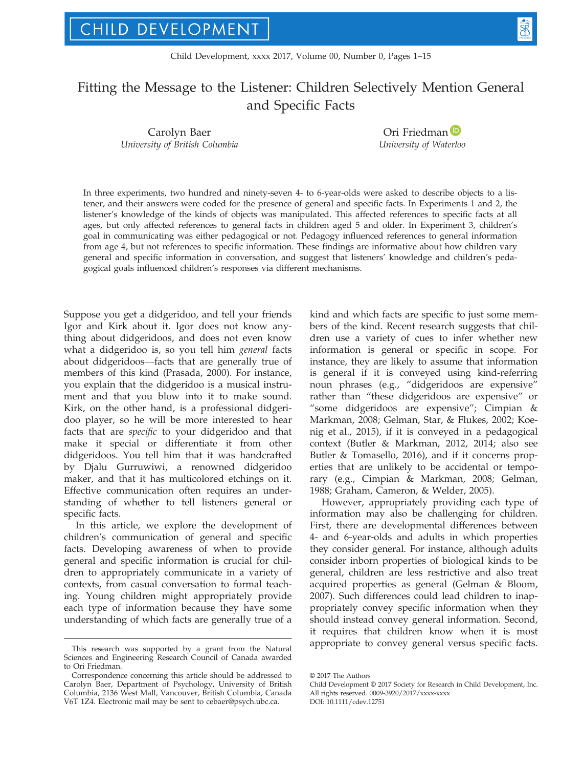# Fitting the Message to the Listener: Children Selectively Mention General and Specific Facts

Carolyn Baer University of British Columbia

Ori Friedma[n](http://orcid.org/0000-0003-2346-9787)<sup>(D</sup> University of Waterloo

In three experiments, two hundred and ninety-seven 4- to 6-year-olds were asked to describe objects to a listener, and their answers were coded for the presence of general and specific facts. In Experiments 1 and 2, the listener's knowledge of the kinds of objects was manipulated. This affected references to specific facts at all ages, but only affected references to general facts in children aged 5 and older. In Experiment 3, children's goal in communicating was either pedagogical or not. Pedagogy influenced references to general information from age 4, but not references to specific information. These findings are informative about how children vary general and specific information in conversation, and suggest that listeners' knowledge and children's pedagogical goals influenced children's responses via different mechanisms.

Suppose you get a didgeridoo, and tell your friends Igor and Kirk about it. Igor does not know anything about didgeridoos, and does not even know what a didgeridoo is, so you tell him general facts about didgeridoos—facts that are generally true of members of this kind (Prasada, 2000). For instance, you explain that the didgeridoo is a musical instrument and that you blow into it to make sound. Kirk, on the other hand, is a professional didgeridoo player, so he will be more interested to hear facts that are specific to your didgeridoo and that make it special or differentiate it from other didgeridoos. You tell him that it was handcrafted by Djalu Gurruwiwi, a renowned didgeridoo maker, and that it has multicolored etchings on it. Effective communication often requires an understanding of whether to tell listeners general or specific facts.

In this article, we explore the development of children's communication of general and specific facts. Developing awareness of when to provide general and specific information is crucial for children to appropriately communicate in a variety of contexts, from casual conversation to formal teaching. Young children might appropriately provide each type of information because they have some understanding of which facts are generally true of a

kind and which facts are specific to just some members of the kind. Recent research suggests that children use a variety of cues to infer whether new information is general or specific in scope. For instance, they are likely to assume that information is general if it is conveyed using kind-referring noun phrases (e.g., "didgeridoos are expensive" rather than "these didgeridoos are expensive" or "some didgeridoos are expensive"; Cimpian & Markman, 2008; Gelman, Star, & Flukes, 2002; Koenig et al., 2015), if it is conveyed in a pedagogical context (Butler & Markman, 2012, 2014; also see Butler & Tomasello, 2016), and if it concerns properties that are unlikely to be accidental or temporary (e.g., Cimpian & Markman, 2008; Gelman, 1988; Graham, Cameron, & Welder, 2005).

However, appropriately providing each type of information may also be challenging for children. First, there are developmental differences between 4- and 6-year-olds and adults in which properties they consider general. For instance, although adults consider inborn properties of biological kinds to be general, children are less restrictive and also treat acquired properties as general (Gelman & Bloom, 2007). Such differences could lead children to inappropriately convey specific information when they should instead convey general information. Second, it requires that children know when it is most appropriate to convey general versus specific facts. This research was supported by a grant from the Natural

Sciences and Engineering Research Council of Canada awarded to Ori Friedman.

Correspondence concerning this article should be addressed to Carolyn Baer, Department of Psychology, University of British Columbia, 2136 West Mall, Vancouver, British Columbia, Canada V6T 1Z4. Electronic mail may be sent to cebaer@psych.ubc.ca.

<sup>©</sup> 2017 The Authors

Child Development © 2017 Society for Research in Child Development, Inc. All rights reserved. 0009-3920/2017/xxxx-xxxx DOI: 10.1111/cdev.12751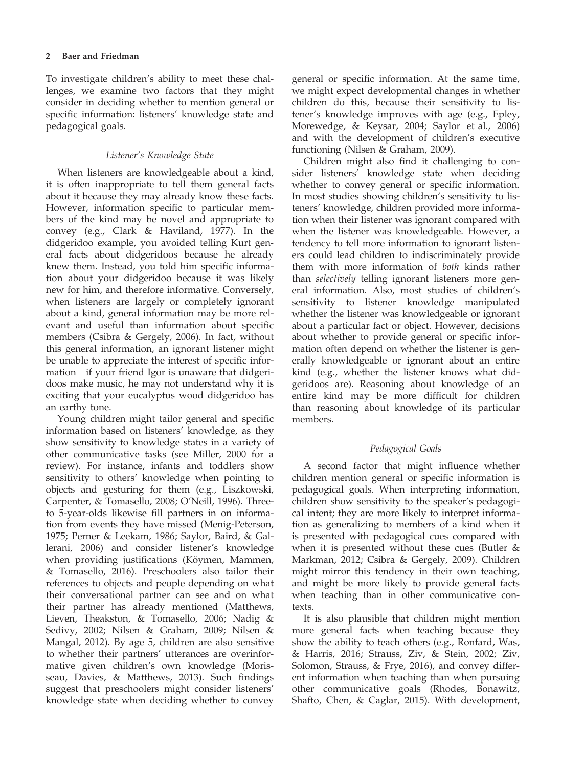To investigate children's ability to meet these challenges, we examine two factors that they might consider in deciding whether to mention general or specific information: listeners' knowledge state and pedagogical goals.

# Listener's Knowledge State

When listeners are knowledgeable about a kind, it is often inappropriate to tell them general facts about it because they may already know these facts. However, information specific to particular members of the kind may be novel and appropriate to convey (e.g., Clark & Haviland, 1977). In the didgeridoo example, you avoided telling Kurt general facts about didgeridoos because he already knew them. Instead, you told him specific information about your didgeridoo because it was likely new for him, and therefore informative. Conversely, when listeners are largely or completely ignorant about a kind, general information may be more relevant and useful than information about specific members (Csibra & Gergely, 2006). In fact, without this general information, an ignorant listener might be unable to appreciate the interest of specific information—if your friend Igor is unaware that didgeridoos make music, he may not understand why it is exciting that your eucalyptus wood didgeridoo has an earthy tone.

Young children might tailor general and specific information based on listeners' knowledge, as they show sensitivity to knowledge states in a variety of other communicative tasks (see Miller, 2000 for a review). For instance, infants and toddlers show sensitivity to others' knowledge when pointing to objects and gesturing for them (e.g., Liszkowski, Carpenter, & Tomasello, 2008; O'Neill, 1996). Threeto 5-year-olds likewise fill partners in on information from events they have missed (Menig-Peterson, 1975; Perner & Leekam, 1986; Saylor, Baird, & Gallerani, 2006) and consider listener's knowledge when providing justifications (Köymen, Mammen, & Tomasello, 2016). Preschoolers also tailor their references to objects and people depending on what their conversational partner can see and on what their partner has already mentioned (Matthews, Lieven, Theakston, & Tomasello, 2006; Nadig & Sedivy, 2002; Nilsen & Graham, 2009; Nilsen & Mangal, 2012). By age 5, children are also sensitive to whether their partners' utterances are overinformative given children's own knowledge (Morisseau, Davies, & Matthews, 2013). Such findings suggest that preschoolers might consider listeners' knowledge state when deciding whether to convey

general or specific information. At the same time, we might expect developmental changes in whether children do this, because their sensitivity to listener's knowledge improves with age (e.g., Epley, Morewedge, & Keysar, 2004; Saylor et al., 2006) and with the development of children's executive functioning (Nilsen & Graham, 2009).

Children might also find it challenging to consider listeners' knowledge state when deciding whether to convey general or specific information. In most studies showing children's sensitivity to listeners' knowledge, children provided more information when their listener was ignorant compared with when the listener was knowledgeable. However, a tendency to tell more information to ignorant listeners could lead children to indiscriminately provide them with more information of both kinds rather than selectively telling ignorant listeners more general information. Also, most studies of children's sensitivity to listener knowledge manipulated whether the listener was knowledgeable or ignorant about a particular fact or object. However, decisions about whether to provide general or specific information often depend on whether the listener is generally knowledgeable or ignorant about an entire kind (e.g., whether the listener knows what didgeridoos are). Reasoning about knowledge of an entire kind may be more difficult for children than reasoning about knowledge of its particular members.

# Pedagogical Goals

A second factor that might influence whether children mention general or specific information is pedagogical goals. When interpreting information, children show sensitivity to the speaker's pedagogical intent; they are more likely to interpret information as generalizing to members of a kind when it is presented with pedagogical cues compared with when it is presented without these cues (Butler & Markman, 2012; Csibra & Gergely, 2009). Children might mirror this tendency in their own teaching, and might be more likely to provide general facts when teaching than in other communicative contexts.

It is also plausible that children might mention more general facts when teaching because they show the ability to teach others (e.g., Ronfard, Was, & Harris, 2016; Strauss, Ziv, & Stein, 2002; Ziv, Solomon, Strauss, & Frye, 2016), and convey different information when teaching than when pursuing other communicative goals (Rhodes, Bonawitz, Shafto, Chen, & Caglar, 2015). With development,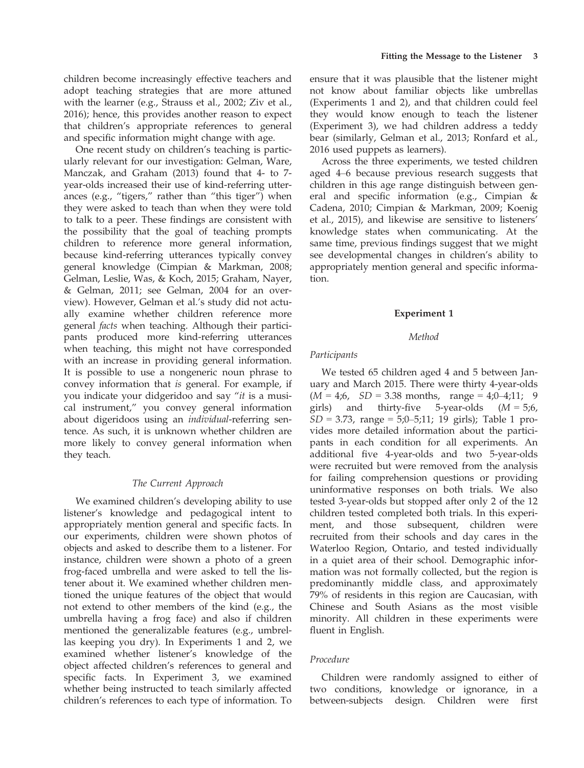children become increasingly effective teachers and adopt teaching strategies that are more attuned with the learner (e.g., Strauss et al., 2002; Ziv et al., 2016); hence, this provides another reason to expect that children's appropriate references to general and specific information might change with age.

One recent study on children's teaching is particularly relevant for our investigation: Gelman, Ware, Manczak, and Graham (2013) found that 4- to 7 year-olds increased their use of kind-referring utterances (e.g., "tigers," rather than "this tiger") when they were asked to teach than when they were told to talk to a peer. These findings are consistent with the possibility that the goal of teaching prompts children to reference more general information, because kind-referring utterances typically convey general knowledge (Cimpian & Markman, 2008; Gelman, Leslie, Was, & Koch, 2015; Graham, Nayer, & Gelman, 2011; see Gelman, 2004 for an overview). However, Gelman et al.'s study did not actually examine whether children reference more general facts when teaching. Although their participants produced more kind-referring utterances when teaching, this might not have corresponded with an increase in providing general information. It is possible to use a nongeneric noun phrase to convey information that is general. For example, if you indicate your didgeridoo and say "it is a musical instrument," you convey general information about digeridoos using an individual-referring sentence. As such, it is unknown whether children are more likely to convey general information when they teach.

#### The Current Approach

We examined children's developing ability to use listener's knowledge and pedagogical intent to appropriately mention general and specific facts. In our experiments, children were shown photos of objects and asked to describe them to a listener. For instance, children were shown a photo of a green frog-faced umbrella and were asked to tell the listener about it. We examined whether children mentioned the unique features of the object that would not extend to other members of the kind (e.g., the umbrella having a frog face) and also if children mentioned the generalizable features (e.g., umbrellas keeping you dry). In Experiments 1 and 2, we examined whether listener's knowledge of the object affected children's references to general and specific facts. In Experiment 3, we examined whether being instructed to teach similarly affected children's references to each type of information. To

ensure that it was plausible that the listener might not know about familiar objects like umbrellas (Experiments 1 and 2), and that children could feel they would know enough to teach the listener (Experiment 3), we had children address a teddy bear (similarly, Gelman et al., 2013; Ronfard et al., 2016 used puppets as learners).

Across the three experiments, we tested children aged 4–6 because previous research suggests that children in this age range distinguish between general and specific information (e.g., Cimpian & Cadena, 2010; Cimpian & Markman, 2009; Koenig et al., 2015), and likewise are sensitive to listeners' knowledge states when communicating. At the same time, previous findings suggest that we might see developmental changes in children's ability to appropriately mention general and specific information.

#### Experiment 1

#### Method

#### Participants

We tested 65 children aged 4 and 5 between January and March 2015. There were thirty 4-year-olds  $(M = 4,6, SD = 3.38$  months, range = 4;0-4;11; 9 girls) and thirty-five 5-year-olds  $(M = 5;6)$ ,  $SD = 3.73$ , range = 5;0-5;11; 19 girls); Table 1 provides more detailed information about the participants in each condition for all experiments. An additional five 4-year-olds and two 5-year-olds were recruited but were removed from the analysis for failing comprehension questions or providing uninformative responses on both trials. We also tested 3-year-olds but stopped after only 2 of the 12 children tested completed both trials. In this experiment, and those subsequent, children were recruited from their schools and day cares in the Waterloo Region, Ontario, and tested individually in a quiet area of their school. Demographic information was not formally collected, but the region is predominantly middle class, and approximately 79% of residents in this region are Caucasian, with Chinese and South Asians as the most visible minority. All children in these experiments were fluent in English.

# Procedure

Children were randomly assigned to either of two conditions, knowledge or ignorance, in a between-subjects design. Children were first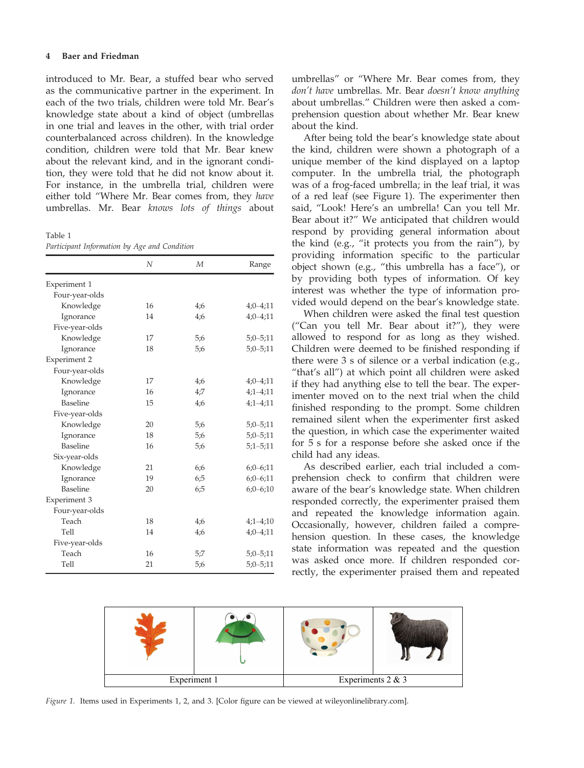introduced to Mr. Bear, a stuffed bear who served as the communicative partner in the experiment. In each of the two trials, children were told Mr. Bear's knowledge state about a kind of object (umbrellas in one trial and leaves in the other, with trial order counterbalanced across children). In the knowledge condition, children were told that Mr. Bear knew about the relevant kind, and in the ignorant condition, they were told that he did not know about it. For instance, in the umbrella trial, children were either told "Where Mr. Bear comes from, they have umbrellas. Mr. Bear knows lots of things about

Table 1

| Participant Information by Age and Condition |  |  |  |
|----------------------------------------------|--|--|--|
|----------------------------------------------|--|--|--|

|                | N  | М   | Range        |
|----------------|----|-----|--------------|
| Experiment 1   |    |     |              |
| Four-year-olds |    |     |              |
| Knowledge      | 16 | 4;6 | $4;0-4;11$   |
| Ignorance      | 14 | 4;6 | $4:0-4:11$   |
| Five-year-olds |    |     |              |
| Knowledge      | 17 | 5:6 | $5;0 - 5;11$ |
| Ignorance      | 18 | 5:6 | $5:0 - 5:11$ |
| Experiment 2   |    |     |              |
| Four-year-olds |    |     |              |
| Knowledge      | 17 | 4;6 | $4:0-4:11$   |
| Ignorance      | 16 | 4:7 | $4;1 - 4;11$ |
| Baseline       | 15 | 4;6 | $4;1 - 4;11$ |
| Five-year-olds |    |     |              |
| Knowledge      | 20 | 5:6 | $5;0 - 5;11$ |
| Ignorance      | 18 | 5;6 | $5;0 - 5;11$ |
| Baseline       | 16 | 5:6 | $5:1 - 5:11$ |
| Six-year-olds  |    |     |              |
| Knowledge      | 21 | 6;6 | $6;0-6;11$   |
| Ignorance      | 19 | 6:5 | $6:0-6:11$   |
| Baseline       | 20 | 6;5 | $6;0-6;10$   |
| Experiment 3   |    |     |              |
| Four-year-olds |    |     |              |
| Teach          | 18 | 4;6 | $4;1-4;10$   |
| Tell           | 14 | 4;6 | $4;0-4;11$   |
| Five-year-olds |    |     |              |
| Teach          | 16 | 5:7 | $5;0-5;11$   |
| Tell           | 21 | 5:6 | $5:0 - 5:11$ |
|                |    |     |              |

umbrellas" or "Where Mr. Bear comes from, they don't have umbrellas. Mr. Bear doesn't know anything about umbrellas." Children were then asked a comprehension question about whether Mr. Bear knew about the kind.

After being told the bear's knowledge state about the kind, children were shown a photograph of a unique member of the kind displayed on a laptop computer. In the umbrella trial, the photograph was of a frog-faced umbrella; in the leaf trial, it was of a red leaf (see Figure 1). The experimenter then said, "Look! Here's an umbrella! Can you tell Mr. Bear about it?" We anticipated that children would respond by providing general information about the kind (e.g., "it protects you from the rain"), by providing information specific to the particular object shown (e.g., "this umbrella has a face"), or by providing both types of information. Of key interest was whether the type of information provided would depend on the bear's knowledge state.

When children were asked the final test question ("Can you tell Mr. Bear about it?"), they were allowed to respond for as long as they wished. Children were deemed to be finished responding if there were 3 s of silence or a verbal indication (e.g., "that's all") at which point all children were asked if they had anything else to tell the bear. The experimenter moved on to the next trial when the child finished responding to the prompt. Some children remained silent when the experimenter first asked the question, in which case the experimenter waited for 5 s for a response before she asked once if the child had any ideas.

As described earlier, each trial included a comprehension check to confirm that children were aware of the bear's knowledge state. When children responded correctly, the experimenter praised them and repeated the knowledge information again. Occasionally, however, children failed a comprehension question. In these cases, the knowledge state information was repeated and the question was asked once more. If children responded correctly, the experimenter praised them and repeated



Figure 1. Items used in Experiments 1, 2, and 3. [Color figure can be viewed at wileyonlinelibrary.com].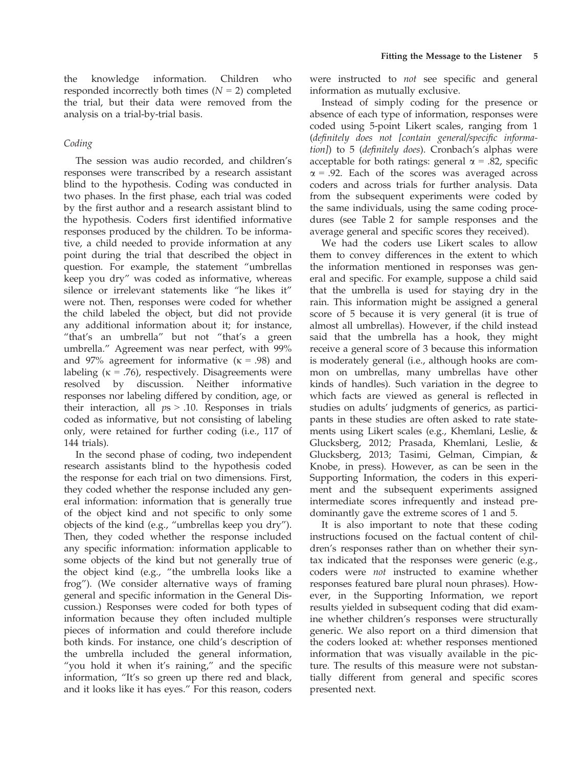# Coding

The session was audio recorded, and children's responses were transcribed by a research assistant blind to the hypothesis. Coding was conducted in two phases. In the first phase, each trial was coded by the first author and a research assistant blind to the hypothesis. Coders first identified informative responses produced by the children. To be informative, a child needed to provide information at any point during the trial that described the object in question. For example, the statement "umbrellas keep you dry" was coded as informative, whereas silence or irrelevant statements like "he likes it" were not. Then, responses were coded for whether the child labeled the object, but did not provide any additional information about it; for instance, "that's an umbrella" but not "that's a green umbrella." Agreement was near perfect, with 99% and 97% agreement for informative  $(k = .98)$  and labeling ( $\kappa$  = .76), respectively. Disagreements were resolved by discussion. Neither informative responses nor labeling differed by condition, age, or their interaction, all  $ps > .10$ . Responses in trials coded as informative, but not consisting of labeling only, were retained for further coding (i.e., 117 of 144 trials).

In the second phase of coding, two independent research assistants blind to the hypothesis coded the response for each trial on two dimensions. First, they coded whether the response included any general information: information that is generally true of the object kind and not specific to only some objects of the kind (e.g., "umbrellas keep you dry"). Then, they coded whether the response included any specific information: information applicable to some objects of the kind but not generally true of the object kind (e.g., "the umbrella looks like a frog"). (We consider alternative ways of framing general and specific information in the General Discussion.) Responses were coded for both types of information because they often included multiple pieces of information and could therefore include both kinds. For instance, one child's description of the umbrella included the general information, "you hold it when it's raining," and the specific information, "It's so green up there red and black, and it looks like it has eyes." For this reason, coders

were instructed to not see specific and general information as mutually exclusive.

Instead of simply coding for the presence or absence of each type of information, responses were coded using 5-point Likert scales, ranging from 1 (definitely does not [contain general/specific information]) to 5 (definitely does). Cronbach's alphas were acceptable for both ratings: general  $\alpha$  = .82, specific  $\alpha$  = .92. Each of the scores was averaged across coders and across trials for further analysis. Data from the subsequent experiments were coded by the same individuals, using the same coding procedures (see Table 2 for sample responses and the average general and specific scores they received).

We had the coders use Likert scales to allow them to convey differences in the extent to which the information mentioned in responses was general and specific. For example, suppose a child said that the umbrella is used for staying dry in the rain. This information might be assigned a general score of 5 because it is very general (it is true of almost all umbrellas). However, if the child instead said that the umbrella has a hook, they might receive a general score of 3 because this information is moderately general (i.e., although hooks are common on umbrellas, many umbrellas have other kinds of handles). Such variation in the degree to which facts are viewed as general is reflected in studies on adults' judgments of generics, as participants in these studies are often asked to rate statements using Likert scales (e.g., Khemlani, Leslie, & Glucksberg, 2012; Prasada, Khemlani, Leslie, & Glucksberg, 2013; Tasimi, Gelman, Cimpian, & Knobe, in press). However, as can be seen in the Supporting Information, the coders in this experiment and the subsequent experiments assigned intermediate scores infrequently and instead predominantly gave the extreme scores of 1 and 5.

It is also important to note that these coding instructions focused on the factual content of children's responses rather than on whether their syntax indicated that the responses were generic (e.g., coders were not instructed to examine whether responses featured bare plural noun phrases). However, in the Supporting Information, we report results yielded in subsequent coding that did examine whether children's responses were structurally generic. We also report on a third dimension that the coders looked at: whether responses mentioned information that was visually available in the picture. The results of this measure were not substantially different from general and specific scores presented next.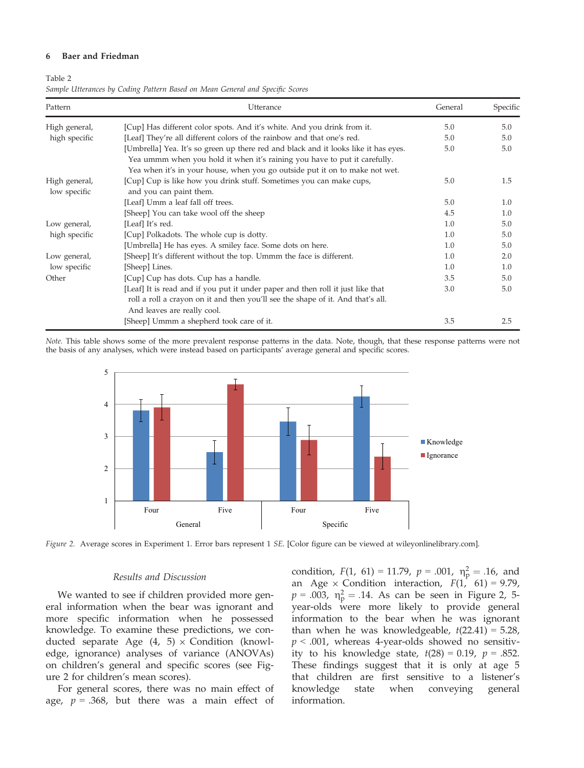#### 6 Baer and Friedman

#### Table 2

| Pattern                                                                                                                                                                                                         | Utterance                                                                                                                                                                                         | General | Specific |
|-----------------------------------------------------------------------------------------------------------------------------------------------------------------------------------------------------------------|---------------------------------------------------------------------------------------------------------------------------------------------------------------------------------------------------|---------|----------|
| High general,                                                                                                                                                                                                   | [Cup] Has different color spots. And it's white. And you drink from it.                                                                                                                           | 5.0     | 5.0      |
| [Leaf] They're all different colors of the rainbow and that one's red.<br>high specific                                                                                                                         |                                                                                                                                                                                                   | 5.0     | 5.0      |
|                                                                                                                                                                                                                 | 5.0                                                                                                                                                                                               | 5.0     |          |
| [Cup] Cup is like how you drink stuff. Sometimes you can make cups,<br>High general,<br>low specific<br>and you can paint them.<br>[Leaf] Umm a leaf fall off trees.<br>[Sheep] You can take wool off the sheep | Yea when it's in your house, when you go outside put it on to make not wet.                                                                                                                       | 5.0     | 1.5      |
|                                                                                                                                                                                                                 | 5.0                                                                                                                                                                                               | 1.0     |          |
|                                                                                                                                                                                                                 |                                                                                                                                                                                                   | 4.5     | 1.0      |
| Low general,                                                                                                                                                                                                    | [Leaf] It's red.                                                                                                                                                                                  | 1.0     | 5.0      |
| [Cup] Polkadots. The whole cup is dotty.<br>high specific                                                                                                                                                       |                                                                                                                                                                                                   | 1.0     | 5.0      |
|                                                                                                                                                                                                                 | [Umbrella] He has eyes. A smiley face. Some dots on here.                                                                                                                                         | 1.0     | 5.0      |
| Low general,                                                                                                                                                                                                    | [Sheep] It's different without the top. Ummm the face is different.                                                                                                                               | 1.0     | 2.0      |
| low specific                                                                                                                                                                                                    | [Sheep] Lines.                                                                                                                                                                                    | 1.0     | 1.0      |
| Other                                                                                                                                                                                                           | [Cup] Cup has dots. Cup has a handle.                                                                                                                                                             | 3.5     | 5.0      |
|                                                                                                                                                                                                                 | [Leaf] It is read and if you put it under paper and then roll it just like that<br>roll a roll a crayon on it and then you'll see the shape of it. And that's all.<br>And leaves are really cool. | 3.0     | 5.0      |
|                                                                                                                                                                                                                 | [Sheep] Ummm a shepherd took care of it.                                                                                                                                                          | 3.5     | 2.5      |

Note. This table shows some of the more prevalent response patterns in the data. Note, though, that these response patterns were not the basis of any analyses, which were instead based on participants' average general and specific scores.



Figure 2. Average scores in Experiment 1. Error bars represent 1 SE. [Color figure can be viewed at wileyonlinelibrary.com].

## Results and Discussion

We wanted to see if children provided more general information when the bear was ignorant and more specific information when he possessed knowledge. To examine these predictions, we conducted separate Age  $(4, 5) \times$  Condition (knowledge, ignorance) analyses of variance (ANOVAs) on children's general and specific scores (see Figure 2 for children's mean scores).

For general scores, there was no main effect of age,  $p = .368$ , but there was a main effect of

condition,  $F(1, 61) = 11.79$ ,  $p = .001$ ,  $\eta_p^2 = .16$ , and<br>an  $A\sigma e \times$  Condition, interaction,  $F(1, 61) = 9.79$ an Age  $\times$  Condition interaction,  $F(1, 61) = 9.79$ ,  $p = .003$ ,  $\eta_p^2 = .14$ . As can be seen in Figure 2, 5-<br>year-olds, were more likely to provide general year-olds were more likely to provide general information to the bear when he was ignorant than when he was knowledgeable,  $t(22.41) = 5.28$ ,  $p < .001$ , whereas 4-year-olds showed no sensitivity to his knowledge state,  $t(28) = 0.19$ ,  $p = .852$ . These findings suggest that it is only at age 5 that children are first sensitive to a listener's knowledge state when conveying general information.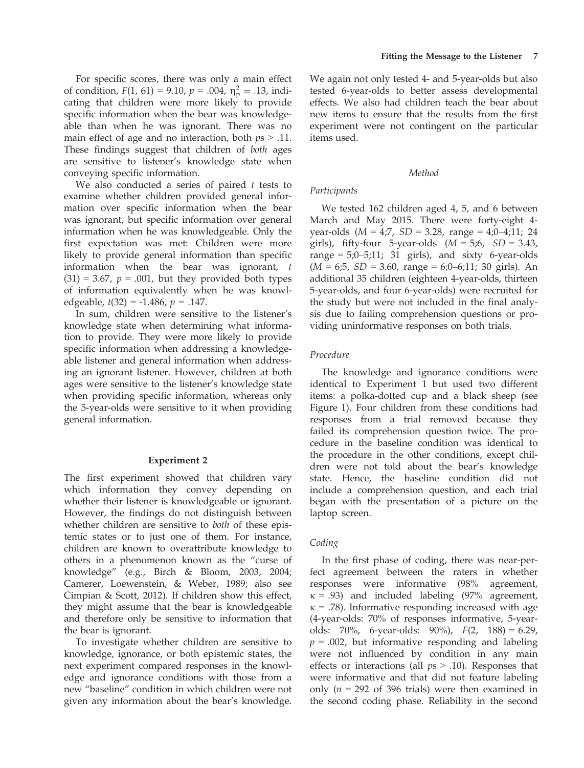For specific scores, there was only a main effect of condition,  $F(1, 61) = 9.10$ ,  $p = .004$ ,  $\eta_{\rm p}^2 = .13$ , indicating that children were more likely to provide cating that children were more likely to provide specific information when the bear was knowledgeable than when he was ignorant. There was no main effect of age and no interaction, both  $ps > .11$ . These findings suggest that children of both ages are sensitive to listener's knowledge state when conveying specific information.

We also conducted a series of paired  $t$  tests to examine whether children provided general information over specific information when the bear was ignorant, but specific information over general information when he was knowledgeable. Only the first expectation was met: Children were more likely to provide general information than specific information when the bear was ignorant, t  $(31) = 3.67$ ,  $p = .001$ , but they provided both types of information equivalently when he was knowledgeable,  $t(32) = -1.486$ ,  $p = .147$ .

In sum, children were sensitive to the listener's knowledge state when determining what information to provide. They were more likely to provide specific information when addressing a knowledgeable listener and general information when addressing an ignorant listener. However, children at both ages were sensitive to the listener's knowledge state when providing specific information, whereas only the 5-year-olds were sensitive to it when providing general information.

## Experiment 2

The first experiment showed that children vary which information they convey depending on whether their listener is knowledgeable or ignorant. However, the findings do not distinguish between whether children are sensitive to *both* of these epistemic states or to just one of them. For instance, children are known to overattribute knowledge to others in a phenomenon known as the "curse of knowledge" (e.g., Birch & Bloom, 2003, 2004; Camerer, Loewenstein, & Weber, 1989; also see Cimpian & Scott, 2012). If children show this effect, they might assume that the bear is knowledgeable and therefore only be sensitive to information that the bear is ignorant.

To investigate whether children are sensitive to knowledge, ignorance, or both epistemic states, the next experiment compared responses in the knowledge and ignorance conditions with those from a new "baseline" condition in which children were not given any information about the bear's knowledge.

We again not only tested 4- and 5-year-olds but also tested 6-year-olds to better assess developmental effects. We also had children teach the bear about new items to ensure that the results from the first experiment were not contingent on the particular items used.

## Method

#### Participants

We tested 162 children aged 4, 5, and 6 between March and May 2015. There were forty-eight 4 year-olds  $(M = 4,7, SD = 3.28, range = 4,0-4,11; 24$ girls), fifty-four 5-year-olds  $(M = 5.6, SD = 3.43,$ range =  $5;0-5;11; 31$  girls), and sixty 6-year-olds  $(M = 6; 5, SD = 3.60, range = 6; 0–6; 11; 30 girls)$ . An additional 35 children (eighteen 4-year-olds, thirteen 5-year-olds, and four 6-year-olds) were recruited for the study but were not included in the final analysis due to failing comprehension questions or providing uninformative responses on both trials.

### Procedure

The knowledge and ignorance conditions were identical to Experiment 1 but used two different items: a polka-dotted cup and a black sheep (see Figure 1). Four children from these conditions had responses from a trial removed because they failed its comprehension question twice. The procedure in the baseline condition was identical to the procedure in the other conditions, except children were not told about the bear's knowledge state. Hence, the baseline condition did not include a comprehension question, and each trial began with the presentation of a picture on the laptop screen.

## Coding

In the first phase of coding, there was near-perfect agreement between the raters in whether responses were informative (98% agreement,  $\kappa$  = .93) and included labeling (97% agreement,  $\kappa$  = .78). Informative responding increased with age (4-year-olds: 70% of responses informative, 5-yearolds: 70%, 6-year-olds: 90%), F(2, 188) = 6.29,  $p = .002$ , but informative responding and labeling were not influenced by condition in any main effects or interactions (all  $ps > .10$ ). Responses that were informative and that did not feature labeling only ( $n = 292$  of 396 trials) were then examined in the second coding phase. Reliability in the second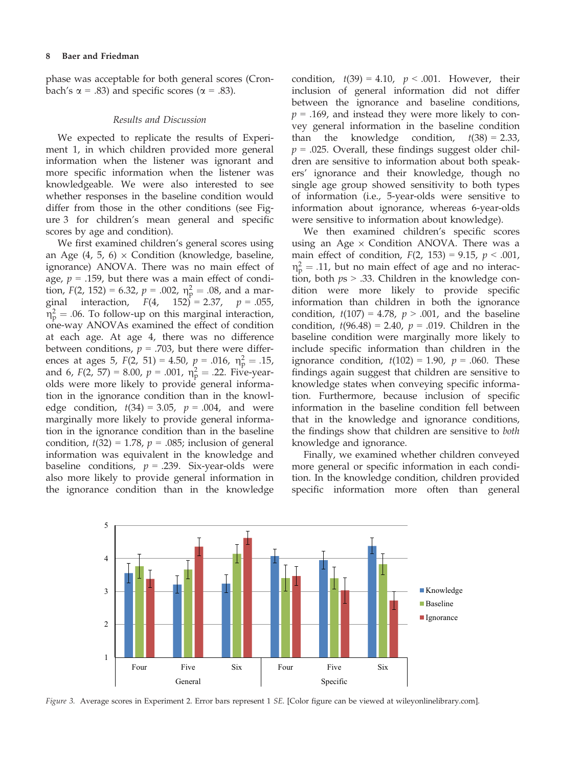phase was acceptable for both general scores (Cronbach's  $\alpha$  = .83) and specific scores ( $\alpha$  = .83).

#### Results and Discussion

We expected to replicate the results of Experiment 1, in which children provided more general information when the listener was ignorant and more specific information when the listener was knowledgeable. We were also interested to see whether responses in the baseline condition would differ from those in the other conditions (see Figure 3 for children's mean general and specific scores by age and condition).

We first examined children's general scores using an Age  $(4, 5, 6) \times$  Condition (knowledge, baseline, ignorance) ANOVA. There was no main effect of age,  $p = .159$ , but there was a main effect of condition,  $F(2, 152) = 6.32$ ,  $p = .002$ ,  $\eta_{\text{P}}^2 = .08$ , and a mar-<br>ginal interaction  $F(4, 152) = 2.37$ ,  $p = .055$ ginal interaction,  $F(4, 152) = 2.37$ ,  $p = .055$ ,  $\eta_{\rm p}^2 = .06$ . To follow-up on this marginal interaction,<br>one-way ANOVAs examined the effect of condition one-way ANOVAs examined the effect of condition at each age. At age 4, there was no difference between conditions,  $p = .703$ , but there were differences at ages 5,  $F(2, 51) = 4.50$ ,  $p = .016$ ,  $\eta_p^2 = .15$ ,<br>and 6,  $F(2, 57) = 8.00$ ,  $p = .001$ ,  $p^2 = .22$ . Five-yearand 6,  $F(2, 57) = 8.00$ ,  $p = .001$ ,  $\eta_p^2 = .22$ . Five-year-<br>olds were more likely to provide general informaolds were more likely to provide general information in the ignorance condition than in the knowledge condition,  $t(34) = 3.05$ ,  $p = .004$ , and were marginally more likely to provide general information in the ignorance condition than in the baseline condition,  $t(32) = 1.78$ ,  $p = .085$ ; inclusion of general information was equivalent in the knowledge and baseline conditions,  $p = .239$ . Six-year-olds were also more likely to provide general information in the ignorance condition than in the knowledge condition,  $t(39) = 4.10$ ,  $p < .001$ . However, their inclusion of general information did not differ between the ignorance and baseline conditions,  $p = .169$ , and instead they were more likely to convey general information in the baseline condition than the knowledge condition,  $t(38) = 2.33$ ,  $p = .025$ . Overall, these findings suggest older children are sensitive to information about both speakers' ignorance and their knowledge, though no single age group showed sensitivity to both types of information (i.e., 5-year-olds were sensitive to information about ignorance, whereas 6-year-olds were sensitive to information about knowledge).

We then examined children's specific scores using an Age  $\times$  Condition ANOVA. There was a main effect of condition,  $F(2, 153) = 9.15$ ,  $p < .001$ ,  $\eta_{\rm p}^2$  = .11, but no main effect of age and no interac-<br>tion both  $n_s > 33$  Children in the knowledge contion, both  $ps > .33$ . Children in the knowledge condition were more likely to provide specific information than children in both the ignorance condition,  $t(107) = 4.78$ ,  $p > .001$ , and the baseline condition,  $t(96.48) = 2.40$ ,  $p = .019$ . Children in the baseline condition were marginally more likely to include specific information than children in the ignorance condition,  $t(102) = 1.90$ ,  $p = .060$ . These findings again suggest that children are sensitive to knowledge states when conveying specific information. Furthermore, because inclusion of specific information in the baseline condition fell between that in the knowledge and ignorance conditions, the findings show that children are sensitive to both knowledge and ignorance.

Finally, we examined whether children conveyed more general or specific information in each condition. In the knowledge condition, children provided specific information more often than general



Figure 3. Average scores in Experiment 2. Error bars represent 1 SE. [Color figure can be viewed at wileyonlinelibrary.com].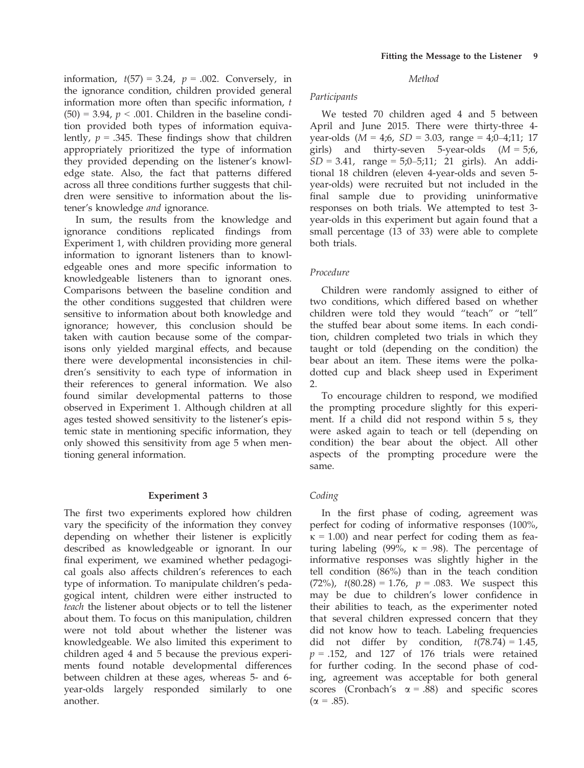information,  $t(57) = 3.24$ ,  $p = .002$ . Conversely, in the ignorance condition, children provided general information more often than specific information, t  $(50) = 3.94$ ,  $p < .001$ . Children in the baseline condition provided both types of information equivalently,  $p = .345$ . These findings show that children appropriately prioritized the type of information they provided depending on the listener's knowledge state. Also, the fact that patterns differed across all three conditions further suggests that children were sensitive to information about the listener's knowledge and ignorance.

In sum, the results from the knowledge and ignorance conditions replicated findings from Experiment 1, with children providing more general information to ignorant listeners than to knowledgeable ones and more specific information to knowledgeable listeners than to ignorant ones. Comparisons between the baseline condition and the other conditions suggested that children were sensitive to information about both knowledge and ignorance; however, this conclusion should be taken with caution because some of the comparisons only yielded marginal effects, and because there were developmental inconsistencies in children's sensitivity to each type of information in their references to general information. We also found similar developmental patterns to those observed in Experiment 1. Although children at all ages tested showed sensitivity to the listener's epistemic state in mentioning specific information, they only showed this sensitivity from age 5 when mentioning general information.

## Experiment 3

The first two experiments explored how children vary the specificity of the information they convey depending on whether their listener is explicitly described as knowledgeable or ignorant. In our final experiment, we examined whether pedagogical goals also affects children's references to each type of information. To manipulate children's pedagogical intent, children were either instructed to teach the listener about objects or to tell the listener about them. To focus on this manipulation, children were not told about whether the listener was knowledgeable. We also limited this experiment to children aged 4 and 5 because the previous experiments found notable developmental differences between children at these ages, whereas 5- and 6 year-olds largely responded similarly to one another.

## Method

### Participants

We tested 70 children aged 4 and 5 between April and June 2015. There were thirty-three 4 year-olds  $(M = 4,6, SD = 3.03, range = 4,0-4,11; 17$ girls) and thirty-seven 5-year-olds  $(M = 5,6,$  $SD = 3.41$ , range = 5;0-5;11; 21 girls). An additional 18 children (eleven 4-year-olds and seven 5 year-olds) were recruited but not included in the final sample due to providing uninformative responses on both trials. We attempted to test 3 year-olds in this experiment but again found that a small percentage (13 of 33) were able to complete both trials.

# Procedure

Children were randomly assigned to either of two conditions, which differed based on whether children were told they would "teach" or "tell" the stuffed bear about some items. In each condition, children completed two trials in which they taught or told (depending on the condition) the bear about an item. These items were the polkadotted cup and black sheep used in Experiment 2.

To encourage children to respond, we modified the prompting procedure slightly for this experiment. If a child did not respond within 5 s, they were asked again to teach or tell (depending on condition) the bear about the object. All other aspects of the prompting procedure were the same.

# Coding

In the first phase of coding, agreement was perfect for coding of informative responses (100%,  $\kappa$  = 1.00) and near perfect for coding them as featuring labeling (99%,  $\kappa = .98$ ). The percentage of informative responses was slightly higher in the tell condition (86%) than in the teach condition (72%),  $t(80.28) = 1.76$ ,  $p = .083$ . We suspect this may be due to children's lower confidence in their abilities to teach, as the experimenter noted that several children expressed concern that they did not know how to teach. Labeling frequencies did not differ by condition,  $t(78.74) = 1.45$ ,  $p = .152$ , and 127 of 176 trials were retained for further coding. In the second phase of coding, agreement was acceptable for both general scores (Cronbach's  $\alpha$  = .88) and specific scores  $(\alpha = .85)$ .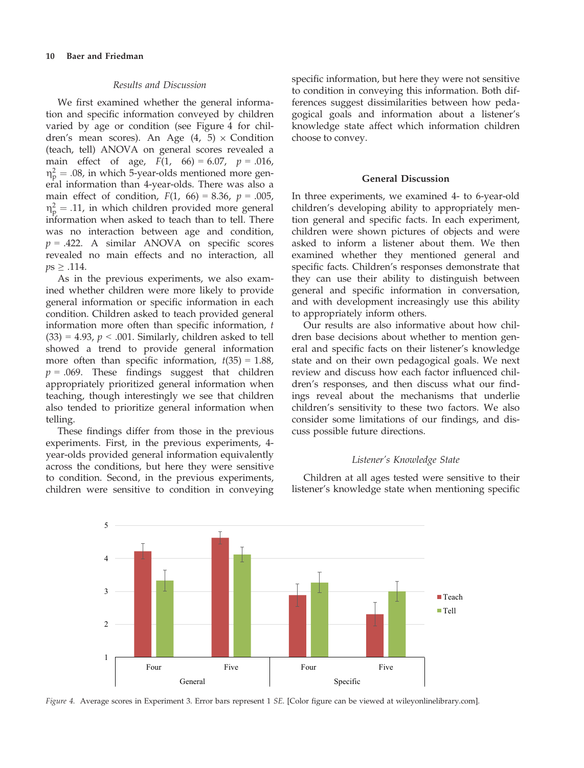#### Results and Discussion

We first examined whether the general information and specific information conveyed by children varied by age or condition (see Figure 4 for children's mean scores). An Age  $(4, 5) \times$  Condition (teach, tell) ANOVA on general scores revealed a main effect of age,  $F(1, 66) = 6.07$ ,  $p = .016$ ,  $\eta_{\rm p}^2 = .08$ , in which 5-year-olds mentioned more gen-<br>eral information than 4-year-olds. There was also a eral information than 4-year-olds. There was also a main effect of condition,  $F(1, 66) = 8.36$ ,  $p = .005$ ,  $\eta_{\rm p}^2 = .11$ , in which children provided more general<br>information when asked to teach than to tell. There information when asked to teach than to tell. There was no interaction between age and condition,  $p = .422$ . A similar ANOVA on specific scores revealed no main effects and no interaction, all  $ps \geq .114$ .

As in the previous experiments, we also examined whether children were more likely to provide general information or specific information in each condition. Children asked to teach provided general information more often than specific information, t  $(33) = 4.93$ ,  $p < .001$ . Similarly, children asked to tell showed a trend to provide general information more often than specific information,  $t(35) = 1.88$ ,  $p = .069$ . These findings suggest that children appropriately prioritized general information when teaching, though interestingly we see that children also tended to prioritize general information when telling.

These findings differ from those in the previous experiments. First, in the previous experiments, 4 year-olds provided general information equivalently across the conditions, but here they were sensitive to condition. Second, in the previous experiments, children were sensitive to condition in conveying specific information, but here they were not sensitive to condition in conveying this information. Both differences suggest dissimilarities between how pedagogical goals and information about a listener's knowledge state affect which information children choose to convey.

#### General Discussion

In three experiments, we examined 4- to 6-year-old children's developing ability to appropriately mention general and specific facts. In each experiment, children were shown pictures of objects and were asked to inform a listener about them. We then examined whether they mentioned general and specific facts. Children's responses demonstrate that they can use their ability to distinguish between general and specific information in conversation, and with development increasingly use this ability to appropriately inform others.

Our results are also informative about how children base decisions about whether to mention general and specific facts on their listener's knowledge state and on their own pedagogical goals. We next review and discuss how each factor influenced children's responses, and then discuss what our findings reveal about the mechanisms that underlie children's sensitivity to these two factors. We also consider some limitations of our findings, and discuss possible future directions.

## Listener's Knowledge State

Children at all ages tested were sensitive to their listener's knowledge state when mentioning specific



Figure 4. Average scores in Experiment 3. Error bars represent 1 SE. [Color figure can be viewed at wileyonlinelibrary.com].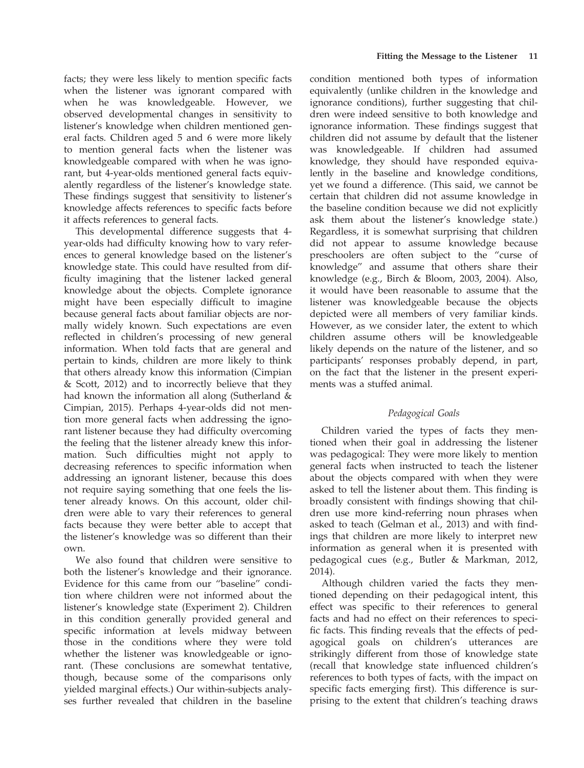facts; they were less likely to mention specific facts when the listener was ignorant compared with when he was knowledgeable. However, we observed developmental changes in sensitivity to listener's knowledge when children mentioned general facts. Children aged 5 and 6 were more likely to mention general facts when the listener was knowledgeable compared with when he was ignorant, but 4-year-olds mentioned general facts equivalently regardless of the listener's knowledge state. These findings suggest that sensitivity to listener's knowledge affects references to specific facts before it affects references to general facts.

This developmental difference suggests that 4 year-olds had difficulty knowing how to vary references to general knowledge based on the listener's knowledge state. This could have resulted from difficulty imagining that the listener lacked general knowledge about the objects. Complete ignorance might have been especially difficult to imagine because general facts about familiar objects are normally widely known. Such expectations are even reflected in children's processing of new general information. When told facts that are general and pertain to kinds, children are more likely to think that others already know this information (Cimpian & Scott, 2012) and to incorrectly believe that they had known the information all along (Sutherland & Cimpian, 2015). Perhaps 4-year-olds did not mention more general facts when addressing the ignorant listener because they had difficulty overcoming the feeling that the listener already knew this information. Such difficulties might not apply to decreasing references to specific information when addressing an ignorant listener, because this does not require saying something that one feels the listener already knows. On this account, older children were able to vary their references to general facts because they were better able to accept that the listener's knowledge was so different than their own.

We also found that children were sensitive to both the listener's knowledge and their ignorance. Evidence for this came from our "baseline" condition where children were not informed about the listener's knowledge state (Experiment 2). Children in this condition generally provided general and specific information at levels midway between those in the conditions where they were told whether the listener was knowledgeable or ignorant. (These conclusions are somewhat tentative, though, because some of the comparisons only yielded marginal effects.) Our within-subjects analyses further revealed that children in the baseline

condition mentioned both types of information equivalently (unlike children in the knowledge and ignorance conditions), further suggesting that children were indeed sensitive to both knowledge and ignorance information. These findings suggest that children did not assume by default that the listener was knowledgeable. If children had assumed knowledge, they should have responded equivalently in the baseline and knowledge conditions, yet we found a difference. (This said, we cannot be certain that children did not assume knowledge in the baseline condition because we did not explicitly ask them about the listener's knowledge state.) Regardless, it is somewhat surprising that children did not appear to assume knowledge because preschoolers are often subject to the "curse of knowledge" and assume that others share their knowledge (e.g., Birch & Bloom, 2003, 2004). Also, it would have been reasonable to assume that the listener was knowledgeable because the objects depicted were all members of very familiar kinds. However, as we consider later, the extent to which children assume others will be knowledgeable likely depends on the nature of the listener, and so participants' responses probably depend, in part, on the fact that the listener in the present experiments was a stuffed animal.

# Pedagogical Goals

Children varied the types of facts they mentioned when their goal in addressing the listener was pedagogical: They were more likely to mention general facts when instructed to teach the listener about the objects compared with when they were asked to tell the listener about them. This finding is broadly consistent with findings showing that children use more kind-referring noun phrases when asked to teach (Gelman et al., 2013) and with findings that children are more likely to interpret new information as general when it is presented with pedagogical cues (e.g., Butler & Markman, 2012, 2014).

Although children varied the facts they mentioned depending on their pedagogical intent, this effect was specific to their references to general facts and had no effect on their references to specific facts. This finding reveals that the effects of pedagogical goals on children's utterances are strikingly different from those of knowledge state (recall that knowledge state influenced children's references to both types of facts, with the impact on specific facts emerging first). This difference is surprising to the extent that children's teaching draws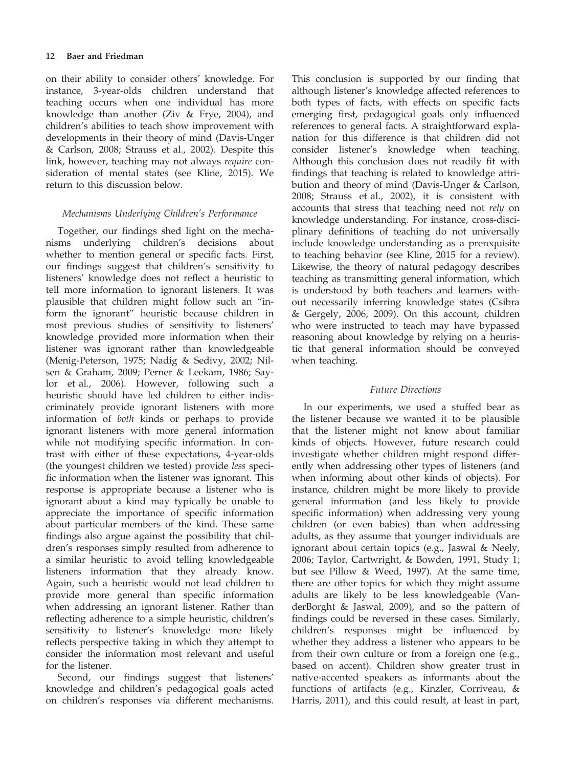## 12 Baer and Friedman

on their ability to consider others' knowledge. For instance, 3-year-olds children understand that teaching occurs when one individual has more knowledge than another (Ziv & Frye, 2004), and children's abilities to teach show improvement with developments in their theory of mind (Davis-Unger & Carlson, 2008; Strauss et al., 2002). Despite this link, however, teaching may not always require consideration of mental states (see Kline, 2015). We return to this discussion below.

## Mechanisms Underlying Children's Performance

Together, our findings shed light on the mechanisms underlying children's decisions about whether to mention general or specific facts. First, our findings suggest that children's sensitivity to listeners' knowledge does not reflect a heuristic to tell more information to ignorant listeners. It was plausible that children might follow such an "inform the ignorant" heuristic because children in most previous studies of sensitivity to listeners' knowledge provided more information when their listener was ignorant rather than knowledgeable (Menig-Peterson, 1975; Nadig & Sedivy, 2002; Nilsen & Graham, 2009; Perner & Leekam, 1986; Saylor et al., 2006). However, following such a heuristic should have led children to either indiscriminately provide ignorant listeners with more information of both kinds or perhaps to provide ignorant listeners with more general information while not modifying specific information. In contrast with either of these expectations, 4-year-olds (the youngest children we tested) provide less specific information when the listener was ignorant. This response is appropriate because a listener who is ignorant about a kind may typically be unable to appreciate the importance of specific information about particular members of the kind. These same findings also argue against the possibility that children's responses simply resulted from adherence to a similar heuristic to avoid telling knowledgeable listeners information that they already know. Again, such a heuristic would not lead children to provide more general than specific information when addressing an ignorant listener. Rather than reflecting adherence to a simple heuristic, children's sensitivity to listener's knowledge more likely reflects perspective taking in which they attempt to consider the information most relevant and useful for the listener.

Second, our findings suggest that listeners' knowledge and children's pedagogical goals acted on children's responses via different mechanisms. This conclusion is supported by our finding that although listener's knowledge affected references to both types of facts, with effects on specific facts emerging first, pedagogical goals only influenced references to general facts. A straightforward explanation for this difference is that children did not consider listener's knowledge when teaching. Although this conclusion does not readily fit with findings that teaching is related to knowledge attribution and theory of mind (Davis-Unger & Carlson, 2008; Strauss et al., 2002), it is consistent with accounts that stress that teaching need not rely on knowledge understanding. For instance, cross-disciplinary definitions of teaching do not universally include knowledge understanding as a prerequisite to teaching behavior (see Kline, 2015 for a review). Likewise, the theory of natural pedagogy describes teaching as transmitting general information, which is understood by both teachers and learners without necessarily inferring knowledge states (Csibra & Gergely, 2006, 2009). On this account, children who were instructed to teach may have bypassed reasoning about knowledge by relying on a heuristic that general information should be conveyed when teaching.

## Future Directions

In our experiments, we used a stuffed bear as the listener because we wanted it to be plausible that the listener might not know about familiar kinds of objects. However, future research could investigate whether children might respond differently when addressing other types of listeners (and when informing about other kinds of objects). For instance, children might be more likely to provide general information (and less likely to provide specific information) when addressing very young children (or even babies) than when addressing adults, as they assume that younger individuals are ignorant about certain topics (e.g., Jaswal & Neely, 2006; Taylor, Cartwright, & Bowden, 1991, Study 1; but see Pillow & Weed, 1997). At the same time, there are other topics for which they might assume adults are likely to be less knowledgeable (VanderBorght & Jaswal, 2009), and so the pattern of findings could be reversed in these cases. Similarly, children's responses might be influenced by whether they address a listener who appears to be from their own culture or from a foreign one (e.g., based on accent). Children show greater trust in native-accented speakers as informants about the functions of artifacts (e.g., Kinzler, Corriveau, & Harris, 2011), and this could result, at least in part,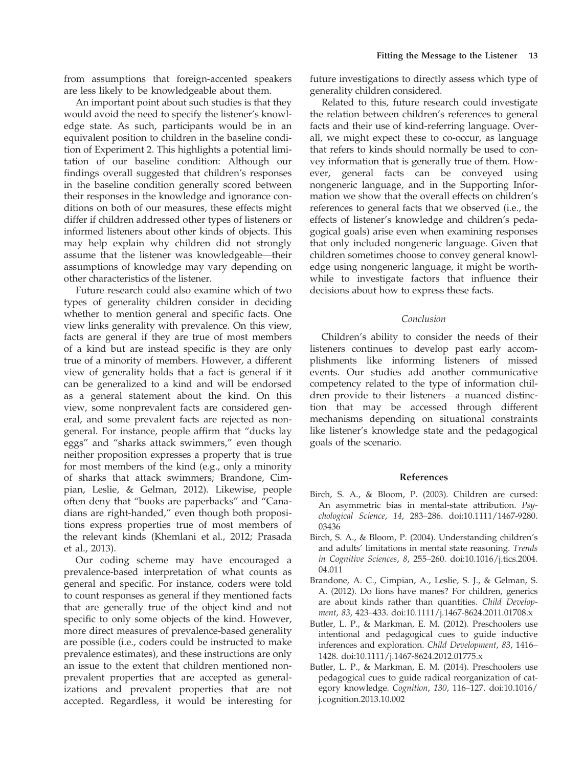from assumptions that foreign-accented speakers are less likely to be knowledgeable about them.

An important point about such studies is that they would avoid the need to specify the listener's knowledge state. As such, participants would be in an equivalent position to children in the baseline condition of Experiment 2. This highlights a potential limitation of our baseline condition: Although our findings overall suggested that children's responses in the baseline condition generally scored between their responses in the knowledge and ignorance conditions on both of our measures, these effects might differ if children addressed other types of listeners or informed listeners about other kinds of objects. This may help explain why children did not strongly assume that the listener was knowledgeable—their assumptions of knowledge may vary depending on other characteristics of the listener.

Future research could also examine which of two types of generality children consider in deciding whether to mention general and specific facts. One view links generality with prevalence. On this view, facts are general if they are true of most members of a kind but are instead specific is they are only true of a minority of members. However, a different view of generality holds that a fact is general if it can be generalized to a kind and will be endorsed as a general statement about the kind. On this view, some nonprevalent facts are considered general, and some prevalent facts are rejected as nongeneral. For instance, people affirm that "ducks lay eggs" and "sharks attack swimmers," even though neither proposition expresses a property that is true for most members of the kind (e.g., only a minority of sharks that attack swimmers; Brandone, Cimpian, Leslie, & Gelman, 2012). Likewise, people often deny that "books are paperbacks" and "Canadians are right-handed," even though both propositions express properties true of most members of the relevant kinds (Khemlani et al., 2012; Prasada et al., 2013).

Our coding scheme may have encouraged a prevalence-based interpretation of what counts as general and specific. For instance, coders were told to count responses as general if they mentioned facts that are generally true of the object kind and not specific to only some objects of the kind. However, more direct measures of prevalence-based generality are possible (i.e., coders could be instructed to make prevalence estimates), and these instructions are only an issue to the extent that children mentioned nonprevalent properties that are accepted as generalizations and prevalent properties that are not accepted. Regardless, it would be interesting for

future investigations to directly assess which type of generality children considered.

Related to this, future research could investigate the relation between children's references to general facts and their use of kind-referring language. Overall, we might expect these to co-occur, as language that refers to kinds should normally be used to convey information that is generally true of them. However, general facts can be conveyed using nongeneric language, and in the Supporting Information we show that the overall effects on children's references to general facts that we observed (i.e., the effects of listener's knowledge and children's pedagogical goals) arise even when examining responses that only included nongeneric language. Given that children sometimes choose to convey general knowledge using nongeneric language, it might be worthwhile to investigate factors that influence their decisions about how to express these facts.

#### Conclusion

Children's ability to consider the needs of their listeners continues to develop past early accomplishments like informing listeners of missed events. Our studies add another communicative competency related to the type of information children provide to their listeners—a nuanced distinction that may be accessed through different mechanisms depending on situational constraints like listener's knowledge state and the pedagogical goals of the scenario.

## References

- Birch, S. A., & Bloom, P. (2003). Children are cursed: An asymmetric bias in mental-state attribution. Psychological Science, 14, 283–286. doi:[10.1111/1467-9280.](https://doi.org/10.1111/1467-9280.03436) [03436](https://doi.org/10.1111/1467-9280.03436)
- Birch, S. A., & Bloom, P. (2004). Understanding children's and adults' limitations in mental state reasoning. Trends in Cognitive Sciences, 8, 255–260. doi[:10.1016/j.tics.2004.](https://doi.org/10.1016/j.tics.2004.04.011) [04.011](https://doi.org/10.1016/j.tics.2004.04.011)
- Brandone, A. C., Cimpian, A., Leslie, S. J., & Gelman, S. A. (2012). Do lions have manes? For children, generics are about kinds rather than quantities. Child Develop-ment, 83, 423-433. doi[:10.1111/j.1467-8624.2011.01708.x](https://doi.org/10.1111/j.1467-8624.2011.01708.x)
- Butler, L. P., & Markman, E. M. (2012). Preschoolers use intentional and pedagogical cues to guide inductive inferences and exploration. Child Development, 83, 1416– 1428. doi[:10.1111/j.1467-8624.2012.01775.x](https://doi.org/10.1111/j.1467-8624.2012.01775.x)
- Butler, L. P., & Markman, E. M. (2014). Preschoolers use pedagogical cues to guide radical reorganization of category knowledge. Cognition, 130, 116–127. doi:[10.1016/](https://doi.org/10.1016/j.cognition.2013.10.002) [j.cognition.2013.10.002](https://doi.org/10.1016/j.cognition.2013.10.002)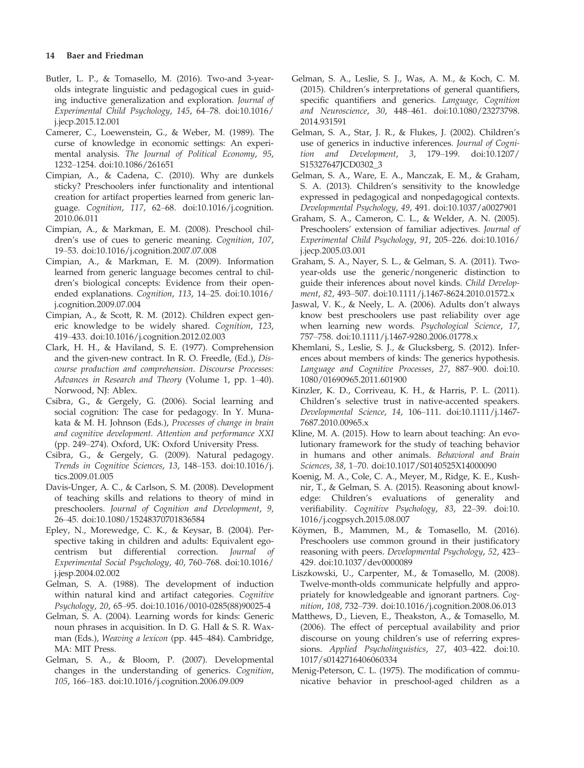### 14 Baer and Friedman

- Butler, L. P., & Tomasello, M. (2016). Two-and 3-yearolds integrate linguistic and pedagogical cues in guiding inductive generalization and exploration. Journal of Experimental Child Psychology, 145, 64–78. doi:[10.1016/](https://doi.org/10.1016/j.jecp.2015.12.001) [j.jecp.2015.12.001](https://doi.org/10.1016/j.jecp.2015.12.001)
- Camerer, C., Loewenstein, G., & Weber, M. (1989). The curse of knowledge in economic settings: An experimental analysis. The Journal of Political Economy, 95, 1232–1254. doi[:10.1086/261651](https://doi.org/10.1086/261651)
- Cimpian, A., & Cadena, C. (2010). Why are dunkels sticky? Preschoolers infer functionality and intentional creation for artifact properties learned from generic language. Cognition, 117, 62–68. doi[:10.1016/j.cognition.](https://doi.org/10.1016/j.cognition.2010.06.011) [2010.06.011](https://doi.org/10.1016/j.cognition.2010.06.011)
- Cimpian, A., & Markman, E. M. (2008). Preschool children's use of cues to generic meaning. Cognition, 107, 19–53. doi[:10.1016/j.cognition.2007.07.008](https://doi.org/10.1016/j.cognition.2007.07.008)
- Cimpian, A., & Markman, E. M. (2009). Information learned from generic language becomes central to children's biological concepts: Evidence from their openended explanations. Cognition, 113, 14–25. doi:[10.1016/](https://doi.org/10.1016/j.cognition.2009.07.004) [j.cognition.2009.07.004](https://doi.org/10.1016/j.cognition.2009.07.004)
- Cimpian, A., & Scott, R. M. (2012). Children expect generic knowledge to be widely shared. Cognition, 123, 419–433. doi[:10.1016/j.cognition.2012.02.003](https://doi.org/10.1016/j.cognition.2012.02.003)
- Clark, H. H., & Haviland, S. E. (1977). Comprehension and the given-new contract. In R. O. Freedle, (Ed.), Discourse production and comprehension. Discourse Processes: Advances in Research and Theory (Volume 1, pp. 1–40). Norwood, NJ: Ablex.
- Csibra, G., & Gergely, G. (2006). Social learning and social cognition: The case for pedagogy. In Y. Munakata & M. H. Johnson (Eds.), Processes of change in brain and cognitive development. Attention and performance XXI (pp. 249–274). Oxford, UK: Oxford University Press.
- Csibra, G., & Gergely, G. (2009). Natural pedagogy. Trends in Cognitive Sciences, 13, 148–153. doi[:10.1016/j.](https://doi.org/10.1016/j.tics.2009.01.005) [tics.2009.01.005](https://doi.org/10.1016/j.tics.2009.01.005)
- Davis-Unger, A. C., & Carlson, S. M. (2008). Development of teaching skills and relations to theory of mind in preschoolers. Journal of Cognition and Development, 9, 26–45. doi[:10.1080/15248370701836584](https://doi.org/10.1080/15248370701836584)
- Epley, N., Morewedge, C. K., & Keysar, B. (2004). Perspective taking in children and adults: Equivalent egocentrism but differential correction. Journal of Experimental Social Psychology, 40, 760–768. doi:[10.1016/](https://doi.org/10.1016/j.jesp.2004.02.002) [j.jesp.2004.02.002](https://doi.org/10.1016/j.jesp.2004.02.002)
- Gelman, S. A. (1988). The development of induction within natural kind and artifact categories. Cognitive Psychology, 20, 65–95. doi[:10.1016/0010-0285\(88\)90025-4](https://doi.org/10.1016/0010-0285(88)90025-4)
- Gelman, S. A. (2004). Learning words for kinds: Generic noun phrases in acquisition. In D. G. Hall & S. R. Waxman (Eds.), Weaving a lexicon (pp. 445–484). Cambridge, MA: MIT Press.
- Gelman, S. A., & Bloom, P. (2007). Developmental changes in the understanding of generics. Cognition, 105, 166–183. doi:[10.1016/j.cognition.2006.09.009](https://doi.org/10.1016/j.cognition.2006.09.009)
- Gelman, S. A., Leslie, S. J., Was, A. M., & Koch, C. M. (2015). Children's interpretations of general quantifiers, specific quantifiers and generics. Language, Cognition and Neuroscience, 30, 448–461. doi[:10.1080/23273798.](https://doi.org/10.1080/23273798.2014.931591) [2014.931591](https://doi.org/10.1080/23273798.2014.931591)
- Gelman, S. A., Star, J. R., & Flukes, J. (2002). Children's use of generics in inductive inferences. Journal of Cognition and Development, 3, 179–199. doi[:10.1207/](https://doi.org/10.1207/S15327647JCD0302_3) [S15327647JCD0302\\_3](https://doi.org/10.1207/S15327647JCD0302_3)
- Gelman, S. A., Ware, E. A., Manczak, E. M., & Graham, S. A. (2013). Children's sensitivity to the knowledge expressed in pedagogical and nonpedagogical contexts. Developmental Psychology, 49, 491. doi:[10.1037/a0027901](https://doi.org/10.1037/a0027901)
- Graham, S. A., Cameron, C. L., & Welder, A. N. (2005). Preschoolers' extension of familiar adjectives. Journal of Experimental Child Psychology, 91, 205–226. doi[:10.1016/](https://doi.org/10.1016/j.jecp.2005.03.001) [j.jecp.2005.03.001](https://doi.org/10.1016/j.jecp.2005.03.001)
- Graham, S. A., Nayer, S. L., & Gelman, S. A. (2011). Twoyear-olds use the generic/nongeneric distinction to guide their inferences about novel kinds. Child Development, 82, 493–507. doi:[10.1111/j.1467-8624.2010.01572.x](https://doi.org/10.1111/j.1467-8624.2010.01572.x)
- Jaswal, V. K., & Neely, L. A. (2006). Adults don't always know best preschoolers use past reliability over age when learning new words. Psychological Science, 17, 757–758. doi[:10.1111/j.1467-9280.2006.01778.x](https://doi.org/10.1111/j.1467-9280.2006.01778.x)
- Khemlani, S., Leslie, S. J., & Glucksberg, S. (2012). Inferences about members of kinds: The generics hypothesis. Language and Cognitive Processes, 27, 887–900. doi:[10.](https://doi.org/10.1080/01690965.2011.601900) [1080/01690965.2011.601900](https://doi.org/10.1080/01690965.2011.601900)
- Kinzler, K. D., Corriveau, K. H., & Harris, P. L. (2011). Children's selective trust in native-accented speakers. Developmental Science, 14, 106–111. doi[:10.1111/j.1467-](https://doi.org/10.1111/j.1467-7687.2010.00965.x) [7687.2010.00965.x](https://doi.org/10.1111/j.1467-7687.2010.00965.x)
- Kline, M. A. (2015). How to learn about teaching: An evolutionary framework for the study of teaching behavior in humans and other animals. Behavioral and Brain Sciences, 38, 1–70. doi[:10.1017/S0140525X14000090](https://doi.org/10.1017/S0140525X14000090)
- Koenig, M. A., Cole, C. A., Meyer, M., Ridge, K. E., Kushnir, T., & Gelman, S. A. (2015). Reasoning about knowledge: Children's evaluations of generality and verifiability. Cognitive Psychology, 83, 22–39. doi:[10.](https://doi.org/10.1016/j.cogpsych.2015.08.007) [1016/j.cogpsych.2015.08.007](https://doi.org/10.1016/j.cogpsych.2015.08.007)
- Köymen, B., Mammen, M., & Tomasello, M. (2016). Preschoolers use common ground in their justificatory reasoning with peers. Developmental Psychology, 52, 423– 429. doi[:10.1037/dev0000089](https://doi.org/10.1037/dev0000089)
- Liszkowski, U., Carpenter, M., & Tomasello, M. (2008). Twelve-month-olds communicate helpfully and appropriately for knowledgeable and ignorant partners. Cognition, 108, 732–739. doi:[10.1016/j.cognition.2008.06.013](https://doi.org/10.1016/j.cognition.2008.06.013)
- Matthews, D., Lieven, E., Theakston, A., & Tomasello, M. (2006). The effect of perceptual availability and prior discourse on young children's use of referring expressions. Applied Psycholinguistics, 27, 403–422. doi:[10.](https://doi.org/10.1017/s0142716406060334) [1017/s0142716406060334](https://doi.org/10.1017/s0142716406060334)
- Menig-Peterson, C. L. (1975). The modification of communicative behavior in preschool-aged children as a